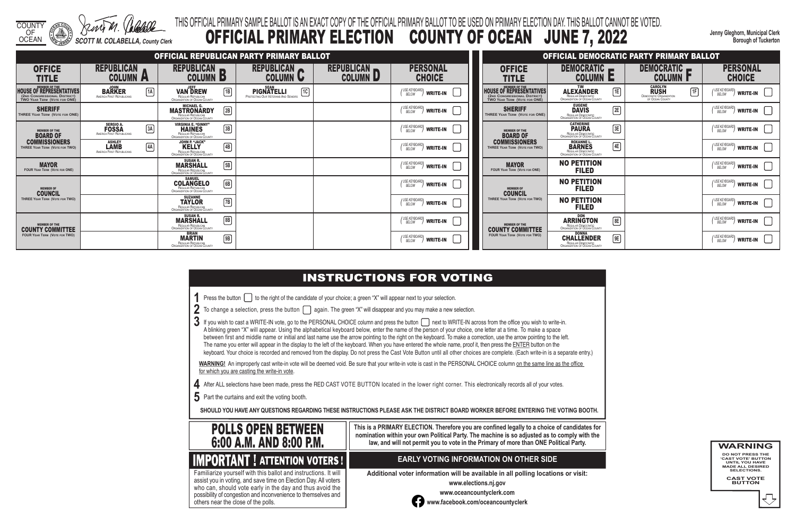COUNTY OF

OCEAN *SCOTT M. COLABELLA, County Clerk*

**Jenny Gleghorn, Municipal Clerk Borough of Tuckerton**

# THIS OFFICIAL PRIMARY SAMPLE BALLOT IS AN EXACT COPY OF THE OFFICIAL PRIMARY BALLOT TO BE USED ON PRIMARY ELECTION DAY. THIS BALLOT CANNOT BE VOTED. OFFICIAL PRIMARY ELECTION COUNTY OF OCEAN JUNE 7, 2022

3 If you wish to cast a WRITE-IN vote, go to the PERSONAL CHOICE column and press the button next to WRITE-IN across from the office you wish to write-in. A blinking green "X" will appear. Using the alphabetical keyboard below, enter the name of the person of your choice, one letter at a time. To make a space between first and middle name or initial and last name use the arrow pointing to the right on the keyboard. To make a correction, use the arrow pointing to the left. The name you enter will appear in the display to the left of the keyboard. When you have entered the whole name, proof it, then press the ENTER button on the keyboard. Your choice is recorded and removed from the display. Do not press the Cast Vote Button until all other choices are complete. (Each write-in is a separate entry.)

WARNING! An improperly cast write-in vote will be deemed void. Be sure that your write-in vote is cast in the PERSONAL CHOICE column on the same line as the office for which you are casting the write-in vote.

**4** After ALL selections have been made, press the RED CAST VOTE BUTTON located in the lower right corner. This electronically records all of your votes.

**5** Part the curtains and exit the voting booth.

**SHOULD YOU HAVE ANY QUESTIONS REGARDING THESE INSTRUCTIONS PLEASE ASK THE DISTRICT BOARD WORKER BEFORE ENTERING THE VOTING BOOTH.**

**This is a PRIMARY ELECTION. Therefore you are confined legally to a choice of candidates for nomination within your own Political Party. The machine is so adjusted as to comply with the law, and will not permit you to vote in the Primary of more than ONE Political Party.**

Familiarize yourself with this ballot and instructions. It will

 assist you in voting, and save time on Election Day. All voters who can, should vote early in the day and thus avoid the possibility of congestion and inconvenience to themselves and others near the close of the polls.

## **EARLY VOTING INFORMATION ON OTHER SIDE**

**Additional voter information will be available in all polling locations or visit:**

**www.elections.nj.gov** 



**www.oceancountyclerk.com <sup>w</sup>ww.facebook.com/oceancountyclerk**

**WARNING DO NOT PRESS THE** 

**'CAST VOTE' BUTTON UNTIL YOU HAVE MADE ALL DESIRED SELECTIONS.** 

**CAST VOTE BUTTON**



|                                                                                                                         |                                                                                  |                                                                                                   |              | OFFICIAL REPUBLICAN PARTY PRIMARY BALLOT                                      |                                      |                                            |                                                                                                 |
|-------------------------------------------------------------------------------------------------------------------------|----------------------------------------------------------------------------------|---------------------------------------------------------------------------------------------------|--------------|-------------------------------------------------------------------------------|--------------------------------------|--------------------------------------------|-------------------------------------------------------------------------------------------------|
| <b>OFFICE</b><br><b>TITLE</b>                                                                                           | <b>REPUBLICAN</b><br><b>COLUMN</b><br>$\overline{\phantom{a}}$                   | <b>REPUBLICAN</b><br><b>COLUMN</b><br>D                                                           |              | <b>REPUBLICAN</b><br><b>COLUMN U</b>                                          | <b>REPUBLICAN</b><br><b>COLUMN L</b> | <b>PERSONAL</b><br><b>CHOICE</b>           | <b>OFFICE</b><br><b>TITLE</b>                                                                   |
| <b>MEMBER OF THE</b><br><b>HOUSE OF REPRESENTATIVES</b><br>(2ND CONGRESSIONAL DISTRICT)<br>TWO YEAR TERM (VOTE FOR ONE) | <b>JOHN</b><br>$\boxed{1A}$<br><b>BARKER</b><br><b>AMERICA FIRST REPUBLICANS</b> | <b>JEFF</b><br><b>VAN DREW</b><br>REGULAR REPUBLICAN<br>ORGANIZATION OF OCEAN COUNTY              | $\sqrt{1B}$  | <b>SEAN</b><br>ि।<br><b>PIGNATELLI</b><br>PROTECTING OUR VETERANS AND SENIORS |                                      | (USE KEYBOARD)<br><b>WRITE-IN</b>          | <b>HOUSE OF REPRESENTATIVES</b><br>(2ND CONGRESSIONAL DISTRICT)<br>TWO YEAR TERM (VOTE FOR ONE) |
| <b>SHERIFF</b><br>THREE YEAR TERM (VOTE FOR ONE)                                                                        |                                                                                  | <b>MICHAEL G.</b><br><b>MASTRONARDY</b><br>REGULAR REPUBLICAN<br>ORGANIZATION OF OCEAN COUNTY     | $\boxed{2B}$ |                                                                               |                                      | USE KEYBOARD<br><b>WRITE-IN</b>            | <b>SHERIFF</b><br>THREE YEAR TERM (VOTE FOR ONE)                                                |
| <b>MEMBER OF THE</b><br><b>BOARD OF</b>                                                                                 | <b>SERGIO A.</b><br>$\boxed{3A}$<br><b>FOSSA</b><br>AMERICA FIRST REPUBLICANS    | <b>VIRGINIA E. "GINNY"</b><br><b>HAINES</b><br>REGULAR REPUBLICAN<br>ORGANIZATION OF OCEAN COUNTY | $\sqrt{3B}$  |                                                                               |                                      | / USE KEYBOARD<br><b>WRITE-IN</b><br>BELOW | <b>MEMBER OF THE</b><br><b>BOARD OF</b>                                                         |
| <b>COMMISSIONERS</b><br>THREE YEAR TERM (VOTE FOR TWO)                                                                  | <b>ASHLEY</b><br>4A<br>LÁMB<br><b>AMERICA FIRST REPUBLICANS</b>                  | JOHN P. "JACK"<br><b>KELLY</b><br>REGULAR REPUBLICAN<br>ORGANIZATION OF OCEAN COUNTY              | [4B]         |                                                                               |                                      | (USE KEYBOARD)<br><b>WRITE-IN</b>          | <b>COMMISSIONERS</b><br>THREE YEAR TERM (VOTE FOR TWO)                                          |
| <b>MAYOR</b><br><b>FOUR YEAR TERM (VOTE FOR ONE)</b>                                                                    |                                                                                  | <b>SUSAN R.</b><br><b>MARSHALL</b><br>REGULAR REPUBLICAN<br>ORGANIZATION OF OCEAN COUNTY          | $\sqrt{5B}$  |                                                                               |                                      | USE KEYBOARD<br><b>WRITE-IN</b><br>BELOW   | <b>MAYOR</b><br><b>FOUR YEAR TERM (VOTE FOR ONE)</b>                                            |
| <b>MEMBER OF</b><br><b>COUNCIL</b>                                                                                      |                                                                                  | <b>SAMUEL</b><br><b>COLANGELO</b><br>REGULAR REPUBLICAN<br>ORGANIZATION OF OCEAN COUNTY           | $\boxed{6B}$ |                                                                               |                                      | (USE KEYBOARD)<br><b>WRITE-IN</b>          | <b>MEMBER OF</b><br><b>COUNCIL</b>                                                              |
| THREE YEAR TERM (VOTE FOR TWO)                                                                                          |                                                                                  | <b>SUZANNE</b><br><b>TAYLOR</b><br>REGULAR REPUBLICAN<br>ORGANIZATION OF OCEAN COUNTY             | [7B]         |                                                                               |                                      | / USE KEYBOARD<br><b>WRITE-IN</b><br>BELOW | THREE YEAR TERM (VOTE FOR TWO)                                                                  |
| <b>MEMBER OF THE</b><br><b>COUNTY COMMITTEE</b>                                                                         |                                                                                  | <b>SUSAN R.</b><br><b>MARSHALL</b><br>REGULAR REPUBLICAN<br>ORGANIZATION OF OCEAN COUNTY          | $\boxed{8B}$ |                                                                               |                                      | (USE KEYBOARD)<br><b>WRITE-IN</b>          | <b>MEMBER OF THE</b><br><b>COUNTY COMMITTEE</b>                                                 |
| <b>FOUR YEAR TERM (VOTE FOR TWO)</b>                                                                                    |                                                                                  | <b>BRIAN</b><br><b>MARTIN</b><br><b>REGULAR REPUBLICAN</b><br><b>ORGANIZATION OF OCEAN COUNTY</b> | 9B           |                                                                               |                                      | USE KEYBOARD<br><b>WRITE-IN</b><br>BELOW   | <b>FOUR YEAR TERM (VOTE FOR TWO)</b>                                                            |

# **INSTRUCTIONS FOR VOTING**

**1** Press the button **the right of the candidate of your choice**; a green "X" will appear next to your selection.

2 To change a selection, press the button  $\Box$  again. The green "X" will disappear and you may make a new selection.

|                                                                                                      |                                                                                                        |    | OFFICIAL DEMOCRATIC PARTY PRIMARY BALLOT                                                 |                                                            |
|------------------------------------------------------------------------------------------------------|--------------------------------------------------------------------------------------------------------|----|------------------------------------------------------------------------------------------|------------------------------------------------------------|
| OFFICE<br>TITLE                                                                                      | <b>DEMOCRATIC</b><br>COLUMN                                                                            | E  | <b>DEMOCRATIC</b><br><b>COLUMN</b>                                                       | <b>PERSONAL</b><br><b>CHOICE</b>                           |
| <b>MEMBER OF THE</b><br>OF REPRESENTATIVES<br>ONGRESSIONAL DISTRICT)<br>$\,$ ear Term (Vote for ONE) | <b>TIM</b><br>ALEXANDER<br>REGULAR DEMOCRATIC<br><b>ORGANIZATION OF OCEAN COUNTY</b>                   | 1E | <b>CAROLYN</b><br><b>RUSH</b><br>1F<br><b>DEMOCRATIC ORGANIZATION</b><br>OF OCEAN COUNTY | ' USE KEYBOARD)<br><b>WRITE-IN</b><br><b>BELOW</b>         |
| <b>SHERIFF</b><br><b>EAR TERM (VOTE FOR ONE)</b>                                                     | <b>EUGENE</b><br><b>DAVIS</b><br>REGULAR DEMOCRATIC<br>ORGANIZATION OF OCEAN COUNTY                    | 2E |                                                                                          | ( USE KEYBOARD)<br><b>WRITE-IN</b><br>BELOW                |
| <b>MEMBER OF THE</b><br><b>BOARD OF</b>                                                              | <b>CATHERINE</b><br><b>PAURA</b><br>REGULAR DEMOCRATIC<br>ORGANIZATION OF OCEAN COUNTY                 | 3E |                                                                                          | ' USE KEYBOARD <b>\</b><br><b>WRITE-IN</b><br>BELOW        |
| MMISSIONERS<br>YEAR TERM (VOTE FOR TWO)                                                              | <b>ROXANNE L.</b><br><b>BARNES</b><br><b>REGULAR DEMOCRATIC</b><br><b>ORGANIZATION OF OCEAN COUNTY</b> | 4E |                                                                                          | / USE KEYBOARD)<br><b>WRITE-IN</b><br><b>BELOW</b>         |
| <b>MAYOR</b><br>YEAR TERM (VOTE FOR ONE)                                                             | <b>NO PETITION</b><br><b>FILED</b>                                                                     |    |                                                                                          | ' USE KEYBOARD)<br><b>WRITE-IN</b><br><b>BELOW</b>         |
| <b>MEMBER OF</b><br><b>COUNCIL</b>                                                                   | <b>NO PETITION</b><br><b>FILED</b>                                                                     |    |                                                                                          | ' USE KEYBOARDI<br><b>WRITE-IN</b><br><b>BELOW</b>         |
| YEAR TERM (VOTE FOR TWO)                                                                             | <b>NO PETITION</b><br><b>FILED</b>                                                                     |    |                                                                                          | ( USE KEYBOARD <b>)</b><br><b>WRITE-IN</b><br><b>BELOW</b> |
| <b>MEMBER OF THE</b><br>ITY COMMITTEE                                                                | <b>DON</b><br><b>ARRINGTON</b><br>REGULAR DEMOCRATIC<br><b>ORGANIZATION OF OCEAN COUNTY</b>            | 8E |                                                                                          | ( USE KEYBOARD)<br><b>WRITE-IN</b><br>BELOW                |
| <b>EAR TERM (VOTE FOR TWO)</b>                                                                       | <b>DONNA</b><br><b>CHALLENDER</b><br>REGULAR DEMOCRATIC<br><b>ORGANIZATION OF OCEAN COUNTY</b>         | 9E |                                                                                          | I USE KEYBOARD <b>\</b><br><b>WRITE-IN</b><br>BELOW        |

- 
- 
- 
-